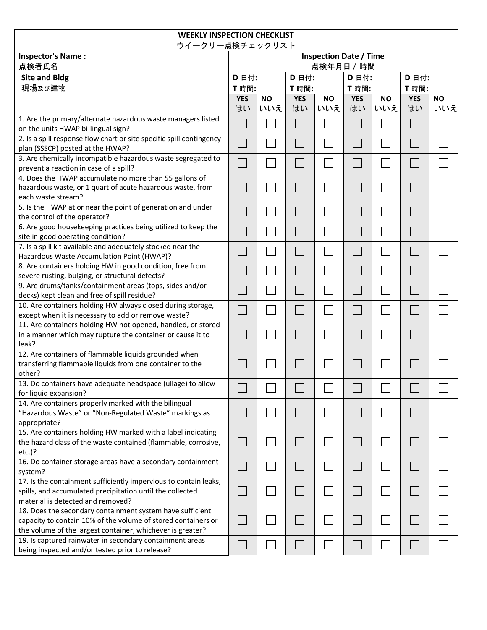| <b>WEEKLY INSPECTION CHECKLIST</b>                                                                                             |                               |           |            |           |            |                          |                          |           |  |
|--------------------------------------------------------------------------------------------------------------------------------|-------------------------------|-----------|------------|-----------|------------|--------------------------|--------------------------|-----------|--|
| ウイークリー点検チェックリスト                                                                                                                |                               |           |            |           |            |                          |                          |           |  |
| <b>Inspector's Name:</b>                                                                                                       | <b>Inspection Date / Time</b> |           |            |           |            |                          |                          |           |  |
| 点検者氏名                                                                                                                          | 点検年月日 / 時間                    |           |            |           |            |                          |                          |           |  |
| <b>Site and Bldg</b>                                                                                                           | D 日付:                         |           | D 日付:      |           | D 日付:      |                          | D 日付:                    |           |  |
| 現場及び建物                                                                                                                         | T 時間:                         |           | T 時間:      |           | T 時間:      |                          | T 時間:                    |           |  |
|                                                                                                                                | <b>YES</b>                    | <b>NO</b> | <b>YES</b> | <b>NO</b> | <b>YES</b> | <b>NO</b>                | <b>YES</b>               | <b>NO</b> |  |
|                                                                                                                                | はい                            | いいえ       | はい         | いいえ       | はい         | いいえ                      | はい                       | いいえ       |  |
| 1. Are the primary/alternate hazardous waste managers listed<br>on the units HWAP bi-lingual sign?                             |                               |           |            |           |            |                          |                          |           |  |
| 2. Is a spill response flow chart or site specific spill contingency<br>plan (SSSCP) posted at the HWAP?                       |                               |           |            |           |            |                          |                          |           |  |
| 3. Are chemically incompatible hazardous waste segregated to<br>prevent a reaction in case of a spill?                         |                               |           |            |           |            |                          |                          |           |  |
| 4. Does the HWAP accumulate no more than 55 gallons of                                                                         |                               |           |            |           |            |                          |                          |           |  |
| hazardous waste, or 1 quart of acute hazardous waste, from                                                                     |                               |           |            |           |            |                          |                          |           |  |
| each waste stream?                                                                                                             |                               |           |            |           |            |                          |                          |           |  |
| 5. Is the HWAP at or near the point of generation and under                                                                    |                               |           |            |           |            |                          |                          |           |  |
| the control of the operator?                                                                                                   |                               |           |            |           |            |                          |                          |           |  |
| 6. Are good housekeeping practices being utilized to keep the                                                                  |                               |           |            |           |            |                          |                          |           |  |
| site in good operating condition?<br>7. Is a spill kit available and adequately stocked near the                               |                               |           |            |           |            |                          |                          |           |  |
| Hazardous Waste Accumulation Point (HWAP)?                                                                                     |                               |           |            |           |            |                          |                          |           |  |
| 8. Are containers holding HW in good condition, free from                                                                      |                               |           |            |           |            |                          |                          |           |  |
| severe rusting, bulging, or structural defects?                                                                                |                               |           |            |           |            |                          |                          |           |  |
| 9. Are drums/tanks/containment areas (tops, sides and/or                                                                       |                               |           |            |           |            |                          |                          |           |  |
| decks) kept clean and free of spill residue?                                                                                   |                               |           |            |           |            |                          |                          |           |  |
| 10. Are containers holding HW always closed during storage,                                                                    |                               |           |            |           |            |                          |                          |           |  |
| except when it is necessary to add or remove waste?                                                                            |                               |           |            |           |            |                          |                          |           |  |
| 11. Are containers holding HW not opened, handled, or stored                                                                   |                               |           |            |           |            |                          |                          |           |  |
| in a manner which may rupture the container or cause it to<br>leak?                                                            |                               |           |            |           |            |                          |                          |           |  |
| 12. Are containers of flammable liquids grounded when                                                                          |                               |           |            |           |            |                          |                          |           |  |
| transferring flammable liquids from one container to the<br>other?                                                             |                               |           |            |           |            |                          |                          |           |  |
| 13. Do containers have adequate headspace (ullage) to allow                                                                    |                               |           |            |           |            |                          |                          |           |  |
| for liquid expansion?                                                                                                          | $\overline{\phantom{0}}$      |           | ┌─┐        |           |            | $\overline{\phantom{a}}$ | $\overline{\phantom{0}}$ |           |  |
| 14. Are containers properly marked with the bilingual<br>"Hazardous Waste" or "Non-Regulated Waste" markings as                |                               |           |            |           |            |                          |                          |           |  |
| appropriate?                                                                                                                   |                               |           |            |           |            |                          |                          |           |  |
| 15. Are containers holding HW marked with a label indicating<br>the hazard class of the waste contained (flammable, corrosive, |                               |           |            |           |            |                          |                          |           |  |
| $etc.$ )?                                                                                                                      |                               |           |            |           |            |                          |                          |           |  |
| 16. Do container storage areas have a secondary containment<br>system?                                                         |                               |           |            |           |            |                          |                          |           |  |
| 17. Is the containment sufficiently impervious to contain leaks,                                                               |                               |           |            |           |            |                          |                          |           |  |
| spills, and accumulated precipitation until the collected                                                                      |                               |           |            |           |            |                          |                          |           |  |
| material is detected and removed?                                                                                              |                               |           |            |           |            |                          |                          |           |  |
| 18. Does the secondary containment system have sufficient                                                                      |                               |           |            |           |            |                          |                          |           |  |
| capacity to contain 10% of the volume of stored containers or                                                                  |                               |           |            |           |            |                          |                          |           |  |
| the volume of the largest container, whichever is greater?                                                                     |                               |           |            |           |            |                          |                          |           |  |
| 19. Is captured rainwater in secondary containment areas<br>being inspected and/or tested prior to release?                    |                               |           |            |           |            |                          |                          |           |  |